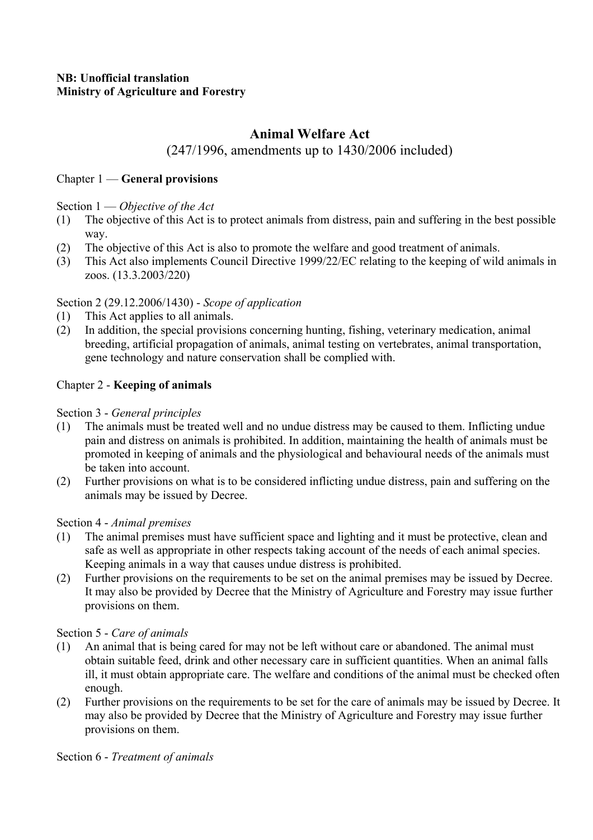# **Animal Welfare Act**

# (247/1996, amendments up to 1430/2006 included)

### Chapter 1 — **General provisions**

Section 1 — *Objective of the Act* 

- (1) The objective of this Act is to protect animals from distress, pain and suffering in the best possible way.
- (2) The objective of this Act is also to promote the welfare and good treatment of animals.
- (3) This Act also implements Council Directive 1999/22/EC relating to the keeping of wild animals in zoos. (13.3.2003/220)

### Section 2 (29.12.2006/1430) - *Scope of application*

- (1) This Act applies to all animals.
- (2) In addition, the special provisions concerning hunting, fishing, veterinary medication, animal breeding, artificial propagation of animals, animal testing on vertebrates, animal transportation, gene technology and nature conservation shall be complied with.

### Chapter 2 - **Keeping of animals**

### Section 3 - *General principles*

- (1) The animals must be treated well and no undue distress may be caused to them. Inflicting undue pain and distress on animals is prohibited. In addition, maintaining the health of animals must be promoted in keeping of animals and the physiological and behavioural needs of the animals must be taken into account.
- (2) Further provisions on what is to be considered inflicting undue distress, pain and suffering on the animals may be issued by Decree.

### Section 4 - *Animal premises*

- (1) The animal premises must have sufficient space and lighting and it must be protective, clean and safe as well as appropriate in other respects taking account of the needs of each animal species. Keeping animals in a way that causes undue distress is prohibited.
- (2) Further provisions on the requirements to be set on the animal premises may be issued by Decree. It may also be provided by Decree that the Ministry of Agriculture and Forestry may issue further provisions on them.

#### Section 5 - *Care of animals*

- (1) An animal that is being cared for may not be left without care or abandoned. The animal must obtain suitable feed, drink and other necessary care in sufficient quantities. When an animal falls ill, it must obtain appropriate care. The welfare and conditions of the animal must be checked often enough.
- (2) Further provisions on the requirements to be set for the care of animals may be issued by Decree. It may also be provided by Decree that the Ministry of Agriculture and Forestry may issue further provisions on them.

#### Section 6 - *Treatment of animals*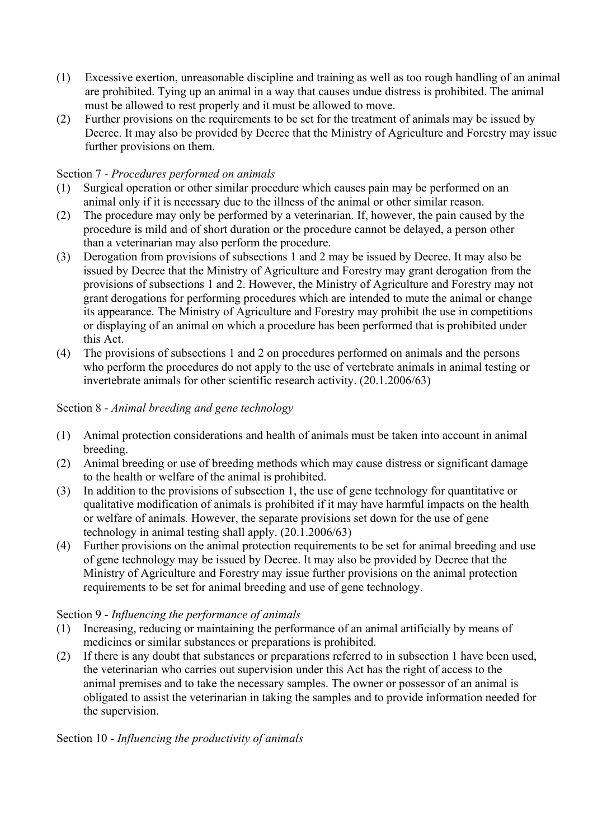- (1) Excessive exertion, unreasonable discipline and training as well as too rough handling of an animal are prohibited. Tying up an animal in a way that causes undue distress is prohibited. The animal must be allowed to rest properly and it must be allowed to move.
- (2) Further provisions on the requirements to be set for the treatment of animals may be issued by Decree. It may also be provided by Decree that the Ministry of Agriculture and Forestry may issue further provisions on them.

# Section 7 - *Procedures performed on animals*

- (1) Surgical operation or other similar procedure which causes pain may be performed on an animal only if it is necessary due to the illness of the animal or other similar reason.
- (2) The procedure may only be performed by a veterinarian. If, however, the pain caused by the procedure is mild and of short duration or the procedure cannot be delayed, a person other than a veterinarian may also perform the procedure.
- (3) Derogation from provisions of subsections 1 and 2 may be issued by Decree. It may also be issued by Decree that the Ministry of Agriculture and Forestry may grant derogation from the provisions of subsections 1 and 2. However, the Ministry of Agriculture and Forestry may not grant derogations for performing procedures which are intended to mute the animal or change its appearance. The Ministry of Agriculture and Forestry may prohibit the use in competitions or displaying of an animal on which a procedure has been performed that is prohibited under this Act.
- (4) The provisions of subsections 1 and 2 on procedures performed on animals and the persons who perform the procedures do not apply to the use of vertebrate animals in animal testing or invertebrate animals for other scientific research activity. (20.1.2006/63)

# Section 8 - *Animal breeding and gene technology*

- (1) Animal protection considerations and health of animals must be taken into account in animal breeding.
- (2) Animal breeding or use of breeding methods which may cause distress or significant damage to the health or welfare of the animal is prohibited.
- (3) In addition to the provisions of subsection 1, the use of gene technology for quantitative or qualitative modification of animals is prohibited if it may have harmful impacts on the health or welfare of animals. However, the separate provisions set down for the use of gene technology in animal testing shall apply. (20.1.2006/63)
- (4) Further provisions on the animal protection requirements to be set for animal breeding and use of gene technology may be issued by Decree. It may also be provided by Decree that the Ministry of Agriculture and Forestry may issue further provisions on the animal protection requirements to be set for animal breeding and use of gene technology.

### Section 9 - *Influencing the performance of animals*

- (1) Increasing, reducing or maintaining the performance of an animal artificially by means of medicines or similar substances or preparations is prohibited.
- (2) If there is any doubt that substances or preparations referred to in subsection 1 have been used, the veterinarian who carries out supervision under this Act has the right of access to the animal premises and to take the necessary samples. The owner or possessor of an animal is obligated to assist the veterinarian in taking the samples and to provide information needed for the supervision.

Section 10 - *Influencing the productivity of animals*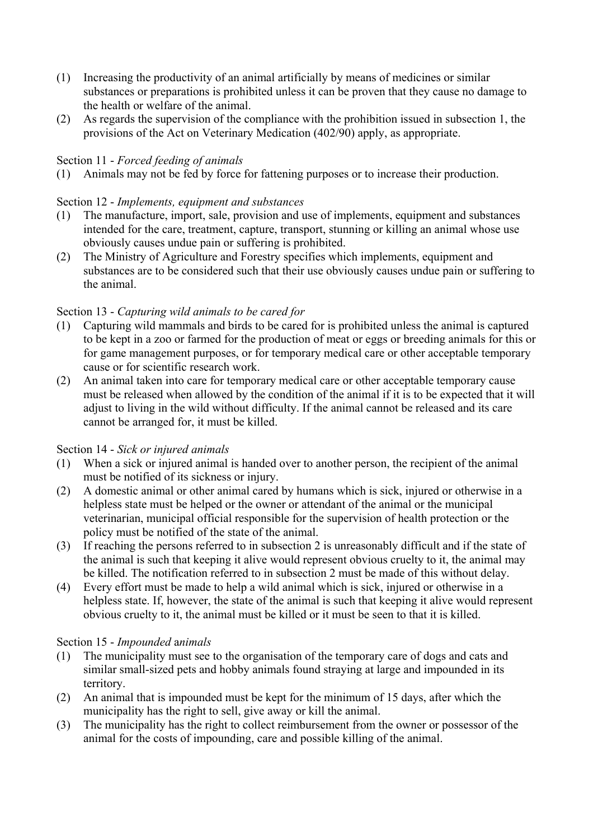- (1) Increasing the productivity of an animal artificially by means of medicines or similar substances or preparations is prohibited unless it can be proven that they cause no damage to the health or welfare of the animal.
- (2) As regards the supervision of the compliance with the prohibition issued in subsection 1, the provisions of the Act on Veterinary Medication (402/90) apply, as appropriate.

# Section 11 - *Forced feeding of animals*

(1) Animals may not be fed by force for fattening purposes or to increase their production.

### Section 12 - *Implements, equipment and substances*

- (1) The manufacture, import, sale, provision and use of implements, equipment and substances intended for the care, treatment, capture, transport, stunning or killing an animal whose use obviously causes undue pain or suffering is prohibited.
- (2) The Ministry of Agriculture and Forestry specifies which implements, equipment and substances are to be considered such that their use obviously causes undue pain or suffering to the animal.

### Section 13 - *Capturing wild animals to be cared for*

- (1) Capturing wild mammals and birds to be cared for is prohibited unless the animal is captured to be kept in a zoo or farmed for the production of meat or eggs or breeding animals for this or for game management purposes, or for temporary medical care or other acceptable temporary cause or for scientific research work.
- (2) An animal taken into care for temporary medical care or other acceptable temporary cause must be released when allowed by the condition of the animal if it is to be expected that it will adjust to living in the wild without difficulty. If the animal cannot be released and its care cannot be arranged for, it must be killed.

#### Section 14 - *Sick or injured animals*

- (1) When a sick or injured animal is handed over to another person, the recipient of the animal must be notified of its sickness or injury.
- (2) A domestic animal or other animal cared by humans which is sick, injured or otherwise in a helpless state must be helped or the owner or attendant of the animal or the municipal veterinarian, municipal official responsible for the supervision of health protection or the policy must be notified of the state of the animal.
- (3) If reaching the persons referred to in subsection 2 is unreasonably difficult and if the state of the animal is such that keeping it alive would represent obvious cruelty to it, the animal may be killed. The notification referred to in subsection 2 must be made of this without delay.
- (4) Every effort must be made to help a wild animal which is sick, injured or otherwise in a helpless state. If, however, the state of the animal is such that keeping it alive would represent obvious cruelty to it, the animal must be killed or it must be seen to that it is killed.

#### Section 15 - *Impounded* a*nimals*

- (1) The municipality must see to the organisation of the temporary care of dogs and cats and similar small-sized pets and hobby animals found straying at large and impounded in its territory.
- (2) An animal that is impounded must be kept for the minimum of 15 days, after which the municipality has the right to sell, give away or kill the animal.
- (3) The municipality has the right to collect reimbursement from the owner or possessor of the animal for the costs of impounding, care and possible killing of the animal.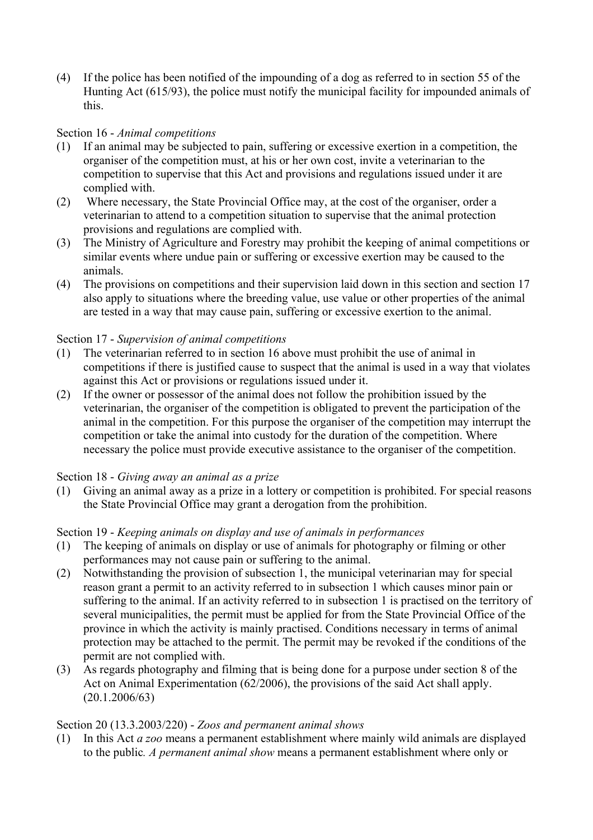(4) If the police has been notified of the impounding of a dog as referred to in section 55 of the Hunting Act (615/93), the police must notify the municipal facility for impounded animals of this.

### Section 16 - *Animal competitions*

- (1) If an animal may be subjected to pain, suffering or excessive exertion in a competition, the organiser of the competition must, at his or her own cost, invite a veterinarian to the competition to supervise that this Act and provisions and regulations issued under it are complied with.
- (2) Where necessary, the State Provincial Office may, at the cost of the organiser, order a veterinarian to attend to a competition situation to supervise that the animal protection provisions and regulations are complied with.
- (3) The Ministry of Agriculture and Forestry may prohibit the keeping of animal competitions or similar events where undue pain or suffering or excessive exertion may be caused to the animals.
- (4) The provisions on competitions and their supervision laid down in this section and section 17 also apply to situations where the breeding value, use value or other properties of the animal are tested in a way that may cause pain, suffering or excessive exertion to the animal.

### Section 17 - *Supervision of animal competitions*

- (1) The veterinarian referred to in section 16 above must prohibit the use of animal in competitions if there is justified cause to suspect that the animal is used in a way that violates against this Act or provisions or regulations issued under it.
- (2) If the owner or possessor of the animal does not follow the prohibition issued by the veterinarian, the organiser of the competition is obligated to prevent the participation of the animal in the competition. For this purpose the organiser of the competition may interrupt the competition or take the animal into custody for the duration of the competition. Where necessary the police must provide executive assistance to the organiser of the competition.

### Section 18 - *Giving away an animal as a prize*

(1) Giving an animal away as a prize in a lottery or competition is prohibited. For special reasons the State Provincial Office may grant a derogation from the prohibition.

### Section 19 - *Keeping animals on display and use of animals in performances*

- (1) The keeping of animals on display or use of animals for photography or filming or other performances may not cause pain or suffering to the animal.
- (2) Notwithstanding the provision of subsection 1, the municipal veterinarian may for special reason grant a permit to an activity referred to in subsection 1 which causes minor pain or suffering to the animal. If an activity referred to in subsection 1 is practised on the territory of several municipalities, the permit must be applied for from the State Provincial Office of the province in which the activity is mainly practised. Conditions necessary in terms of animal protection may be attached to the permit. The permit may be revoked if the conditions of the permit are not complied with.
- (3) As regards photography and filming that is being done for a purpose under section 8 of the Act on Animal Experimentation (62/2006), the provisions of the said Act shall apply. (20.1.2006/63)

### Section 20 (13.3.2003/220) - *Zoos and permanent animal shows*

(1) In this Act *a zoo* means a permanent establishment where mainly wild animals are displayed to the public*. A permanent animal show* means a permanent establishment where only or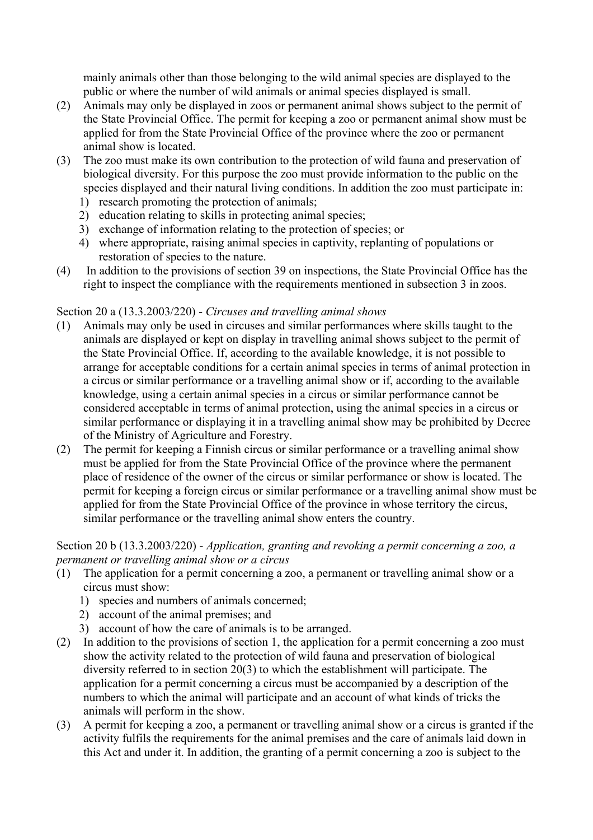mainly animals other than those belonging to the wild animal species are displayed to the public or where the number of wild animals or animal species displayed is small.

- (2) Animals may only be displayed in zoos or permanent animal shows subject to the permit of the State Provincial Office. The permit for keeping a zoo or permanent animal show must be applied for from the State Provincial Office of the province where the zoo or permanent animal show is located.
- (3) The zoo must make its own contribution to the protection of wild fauna and preservation of biological diversity. For this purpose the zoo must provide information to the public on the species displayed and their natural living conditions. In addition the zoo must participate in:
	- 1) research promoting the protection of animals;
	- 2) education relating to skills in protecting animal species;
	- 3) exchange of information relating to the protection of species; or
	- 4) where appropriate, raising animal species in captivity, replanting of populations or restoration of species to the nature.
- (4) In addition to the provisions of section 39 on inspections, the State Provincial Office has the right to inspect the compliance with the requirements mentioned in subsection 3 in zoos.

### Section 20 a (13.3.2003/220) - *Circuses and travelling animal shows*

- (1) Animals may only be used in circuses and similar performances where skills taught to the animals are displayed or kept on display in travelling animal shows subject to the permit of the State Provincial Office. If, according to the available knowledge, it is not possible to arrange for acceptable conditions for a certain animal species in terms of animal protection in a circus or similar performance or a travelling animal show or if, according to the available knowledge, using a certain animal species in a circus or similar performance cannot be considered acceptable in terms of animal protection, using the animal species in a circus or similar performance or displaying it in a travelling animal show may be prohibited by Decree of the Ministry of Agriculture and Forestry.
- (2) The permit for keeping a Finnish circus or similar performance or a travelling animal show must be applied for from the State Provincial Office of the province where the permanent place of residence of the owner of the circus or similar performance or show is located. The permit for keeping a foreign circus or similar performance or a travelling animal show must be applied for from the State Provincial Office of the province in whose territory the circus, similar performance or the travelling animal show enters the country.

### Section 20 b (13.3.2003/220) - *Application, granting and revoking a permit concerning a zoo, a permanent or travelling animal show or a circus*

- (1) The application for a permit concerning a zoo, a permanent or travelling animal show or a circus must show:
	- 1) species and numbers of animals concerned;
	- 2) account of the animal premises; and
	- 3) account of how the care of animals is to be arranged.
- (2) In addition to the provisions of section 1, the application for a permit concerning a zoo must show the activity related to the protection of wild fauna and preservation of biological diversity referred to in section 20(3) to which the establishment will participate. The application for a permit concerning a circus must be accompanied by a description of the numbers to which the animal will participate and an account of what kinds of tricks the animals will perform in the show.
- (3) A permit for keeping a zoo, a permanent or travelling animal show or a circus is granted if the activity fulfils the requirements for the animal premises and the care of animals laid down in this Act and under it. In addition, the granting of a permit concerning a zoo is subject to the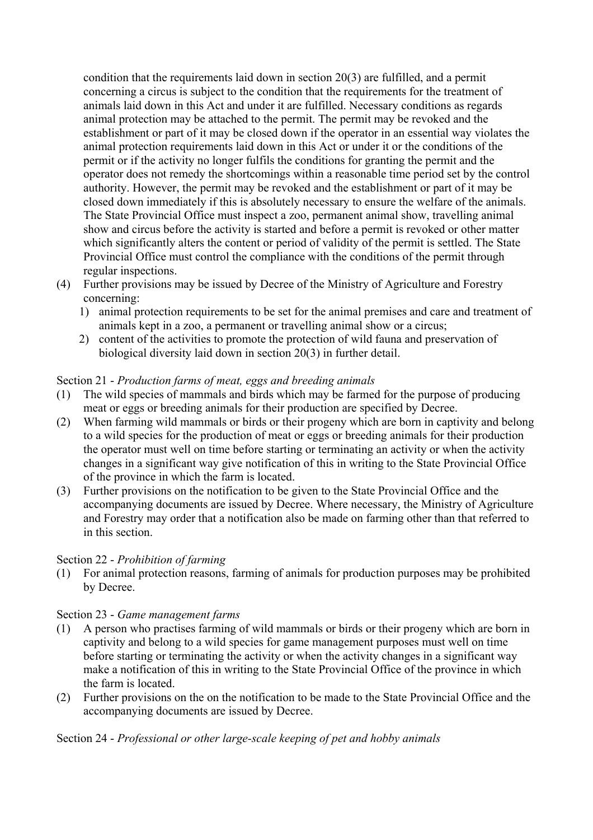condition that the requirements laid down in section 20(3) are fulfilled, and a permit concerning a circus is subject to the condition that the requirements for the treatment of animals laid down in this Act and under it are fulfilled. Necessary conditions as regards animal protection may be attached to the permit. The permit may be revoked and the establishment or part of it may be closed down if the operator in an essential way violates the animal protection requirements laid down in this Act or under it or the conditions of the permit or if the activity no longer fulfils the conditions for granting the permit and the operator does not remedy the shortcomings within a reasonable time period set by the control authority. However, the permit may be revoked and the establishment or part of it may be closed down immediately if this is absolutely necessary to ensure the welfare of the animals. The State Provincial Office must inspect a zoo, permanent animal show, travelling animal show and circus before the activity is started and before a permit is revoked or other matter which significantly alters the content or period of validity of the permit is settled. The State Provincial Office must control the compliance with the conditions of the permit through regular inspections.

- (4) Further provisions may be issued by Decree of the Ministry of Agriculture and Forestry concerning:
	- 1) animal protection requirements to be set for the animal premises and care and treatment of animals kept in a zoo, a permanent or travelling animal show or a circus;
	- 2) content of the activities to promote the protection of wild fauna and preservation of biological diversity laid down in section 20(3) in further detail.

### Section 21 - *Production farms of meat, eggs and breeding animals*

- (1) The wild species of mammals and birds which may be farmed for the purpose of producing meat or eggs or breeding animals for their production are specified by Decree.
- (2) When farming wild mammals or birds or their progeny which are born in captivity and belong to a wild species for the production of meat or eggs or breeding animals for their production the operator must well on time before starting or terminating an activity or when the activity changes in a significant way give notification of this in writing to the State Provincial Office of the province in which the farm is located.
- (3) Further provisions on the notification to be given to the State Provincial Office and the accompanying documents are issued by Decree. Where necessary, the Ministry of Agriculture and Forestry may order that a notification also be made on farming other than that referred to in this section.

#### Section 22 - *Prohibition of farming*

(1) For animal protection reasons, farming of animals for production purposes may be prohibited by Decree.

#### Section 23 - *Game management farms*

- (1) A person who practises farming of wild mammals or birds or their progeny which are born in captivity and belong to a wild species for game management purposes must well on time before starting or terminating the activity or when the activity changes in a significant way make a notification of this in writing to the State Provincial Office of the province in which the farm is located.
- (2) Further provisions on the on the notification to be made to the State Provincial Office and the accompanying documents are issued by Decree.

#### Section 24 - *Professional or other large-scale keeping of pet and hobby animals*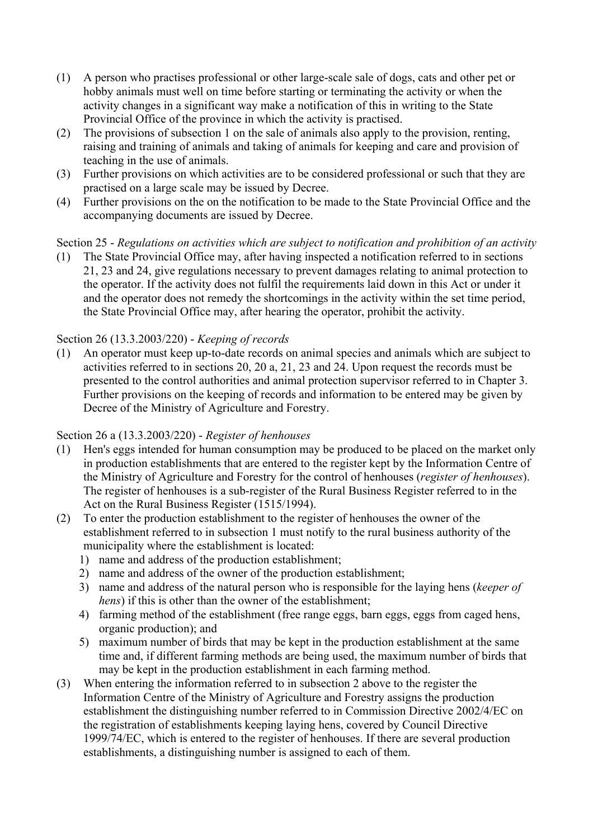- (1) A person who practises professional or other large-scale sale of dogs, cats and other pet or hobby animals must well on time before starting or terminating the activity or when the activity changes in a significant way make a notification of this in writing to the State Provincial Office of the province in which the activity is practised.
- (2) The provisions of subsection 1 on the sale of animals also apply to the provision, renting, raising and training of animals and taking of animals for keeping and care and provision of teaching in the use of animals.
- (3) Further provisions on which activities are to be considered professional or such that they are practised on a large scale may be issued by Decree.
- (4) Further provisions on the on the notification to be made to the State Provincial Office and the accompanying documents are issued by Decree.

# Section 25 - *Regulations on activities which are subject to notification and prohibition of an activity*

(1) The State Provincial Office may, after having inspected a notification referred to in sections 21, 23 and 24, give regulations necessary to prevent damages relating to animal protection to the operator. If the activity does not fulfil the requirements laid down in this Act or under it and the operator does not remedy the shortcomings in the activity within the set time period, the State Provincial Office may, after hearing the operator, prohibit the activity.

### Section 26 (13.3.2003/220) - *Keeping of records*

(1) An operator must keep up-to-date records on animal species and animals which are subject to activities referred to in sections 20, 20 a, 21, 23 and 24. Upon request the records must be presented to the control authorities and animal protection supervisor referred to in Chapter 3. Further provisions on the keeping of records and information to be entered may be given by Decree of the Ministry of Agriculture and Forestry.

### Section 26 a (13.3.2003/220) - *Register of henhouses*

- (1) Hen's eggs intended for human consumption may be produced to be placed on the market only in production establishments that are entered to the register kept by the Information Centre of the Ministry of Agriculture and Forestry for the control of henhouses (*register of henhouses*). The register of henhouses is a sub-register of the Rural Business Register referred to in the Act on the Rural Business Register (1515/1994).
- (2) To enter the production establishment to the register of henhouses the owner of the establishment referred to in subsection 1 must notify to the rural business authority of the municipality where the establishment is located:
	- 1) name and address of the production establishment;
	- 2) name and address of the owner of the production establishment;
	- 3) name and address of the natural person who is responsible for the laying hens (*keeper of hens*) if this is other than the owner of the establishment;
	- 4) farming method of the establishment (free range eggs, barn eggs, eggs from caged hens, organic production); and
	- 5) maximum number of birds that may be kept in the production establishment at the same time and, if different farming methods are being used, the maximum number of birds that may be kept in the production establishment in each farming method.
- (3) When entering the information referred to in subsection 2 above to the register the Information Centre of the Ministry of Agriculture and Forestry assigns the production establishment the distinguishing number referred to in Commission Directive 2002/4/EC on the registration of establishments keeping laying hens, covered by Council Directive 1999/74/EC, which is entered to the register of henhouses. If there are several production establishments, a distinguishing number is assigned to each of them.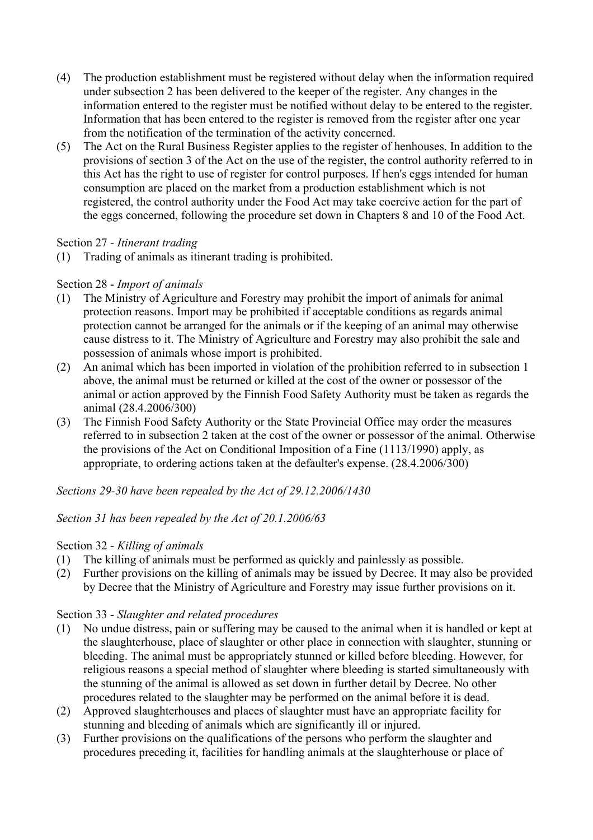- (4) The production establishment must be registered without delay when the information required under subsection 2 has been delivered to the keeper of the register. Any changes in the information entered to the register must be notified without delay to be entered to the register. Information that has been entered to the register is removed from the register after one year from the notification of the termination of the activity concerned.
- (5) The Act on the Rural Business Register applies to the register of henhouses. In addition to the provisions of section 3 of the Act on the use of the register, the control authority referred to in this Act has the right to use of register for control purposes. If hen's eggs intended for human consumption are placed on the market from a production establishment which is not registered, the control authority under the Food Act may take coercive action for the part of the eggs concerned, following the procedure set down in Chapters 8 and 10 of the Food Act.

### Section 27 - *Itinerant trading*

(1) Trading of animals as itinerant trading is prohibited.

# Section 28 - *Import of animals*

- (1) The Ministry of Agriculture and Forestry may prohibit the import of animals for animal protection reasons. Import may be prohibited if acceptable conditions as regards animal protection cannot be arranged for the animals or if the keeping of an animal may otherwise cause distress to it. The Ministry of Agriculture and Forestry may also prohibit the sale and possession of animals whose import is prohibited.
- (2) An animal which has been imported in violation of the prohibition referred to in subsection 1 above, the animal must be returned or killed at the cost of the owner or possessor of the animal or action approved by the Finnish Food Safety Authority must be taken as regards the animal (28.4.2006/300)
- (3) The Finnish Food Safety Authority or the State Provincial Office may order the measures referred to in subsection 2 taken at the cost of the owner or possessor of the animal. Otherwise the provisions of the Act on Conditional Imposition of a Fine (1113/1990) apply, as appropriate, to ordering actions taken at the defaulter's expense. (28.4.2006/300)

### *Sections 29-30 have been repealed by the Act of 29.12.2006/1430*

### *Section 31 has been repealed by the Act of 20.1.2006/63*

### Section 32 - *Killing of animals*

- (1) The killing of animals must be performed as quickly and painlessly as possible.
- (2) Further provisions on the killing of animals may be issued by Decree. It may also be provided by Decree that the Ministry of Agriculture and Forestry may issue further provisions on it.

### Section 33 - *Slaughter and related procedures*

- (1) No undue distress, pain or suffering may be caused to the animal when it is handled or kept at the slaughterhouse, place of slaughter or other place in connection with slaughter, stunning or bleeding. The animal must be appropriately stunned or killed before bleeding. However, for religious reasons a special method of slaughter where bleeding is started simultaneously with the stunning of the animal is allowed as set down in further detail by Decree. No other procedures related to the slaughter may be performed on the animal before it is dead.
- (2) Approved slaughterhouses and places of slaughter must have an appropriate facility for stunning and bleeding of animals which are significantly ill or injured.
- (3) Further provisions on the qualifications of the persons who perform the slaughter and procedures preceding it, facilities for handling animals at the slaughterhouse or place of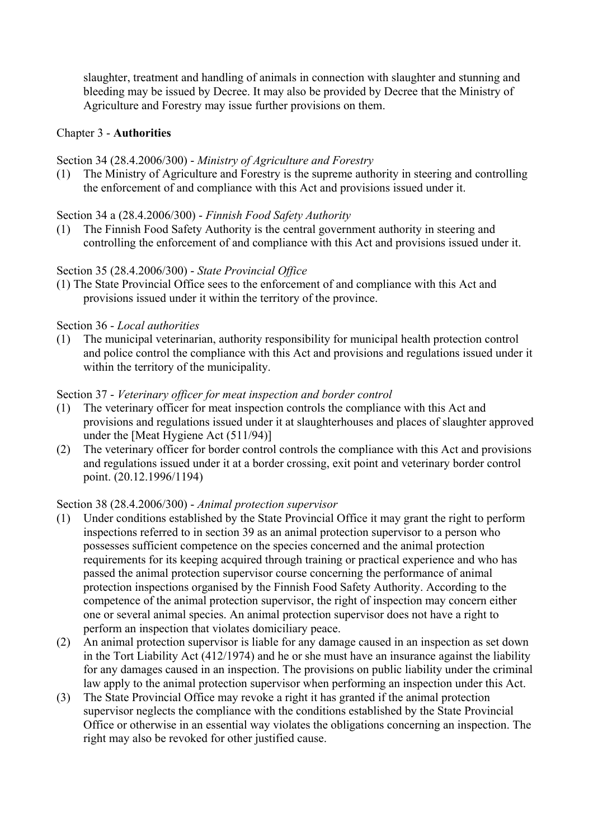slaughter, treatment and handling of animals in connection with slaughter and stunning and bleeding may be issued by Decree. It may also be provided by Decree that the Ministry of Agriculture and Forestry may issue further provisions on them.

### Chapter 3 - **Authorities**

### Section 34 (28.4.2006/300) - *Ministry of Agriculture and Forestry*

(1) The Ministry of Agriculture and Forestry is the supreme authority in steering and controlling the enforcement of and compliance with this Act and provisions issued under it.

### Section 34 a (28.4.2006/300) - *Finnish Food Safety Authority*

(1) The Finnish Food Safety Authority is the central government authority in steering and controlling the enforcement of and compliance with this Act and provisions issued under it.

### Section 35 (28.4.2006/300) - *State Provincial Office*

(1) The State Provincial Office sees to the enforcement of and compliance with this Act and provisions issued under it within the territory of the province.

### Section 36 - *Local authorities*

(1) The municipal veterinarian, authority responsibility for municipal health protection control and police control the compliance with this Act and provisions and regulations issued under it within the territory of the municipality.

### Section 37 - *Veterinary officer for meat inspection and border control*

- (1) The veterinary officer for meat inspection controls the compliance with this Act and provisions and regulations issued under it at slaughterhouses and places of slaughter approved under the [Meat Hygiene Act (511/94)]
- (2) The veterinary officer for border control controls the compliance with this Act and provisions and regulations issued under it at a border crossing, exit point and veterinary border control point. (20.12.1996/1194)

#### Section 38 (28.4.2006/300) - *Animal protection supervisor*

- (1) Under conditions established by the State Provincial Office it may grant the right to perform inspections referred to in section 39 as an animal protection supervisor to a person who possesses sufficient competence on the species concerned and the animal protection requirements for its keeping acquired through training or practical experience and who has passed the animal protection supervisor course concerning the performance of animal protection inspections organised by the Finnish Food Safety Authority. According to the competence of the animal protection supervisor, the right of inspection may concern either one or several animal species. An animal protection supervisor does not have a right to perform an inspection that violates domiciliary peace.
- (2) An animal protection supervisor is liable for any damage caused in an inspection as set down in the Tort Liability Act (412/1974) and he or she must have an insurance against the liability for any damages caused in an inspection. The provisions on public liability under the criminal law apply to the animal protection supervisor when performing an inspection under this Act.
- (3) The State Provincial Office may revoke a right it has granted if the animal protection supervisor neglects the compliance with the conditions established by the State Provincial Office or otherwise in an essential way violates the obligations concerning an inspection. The right may also be revoked for other justified cause.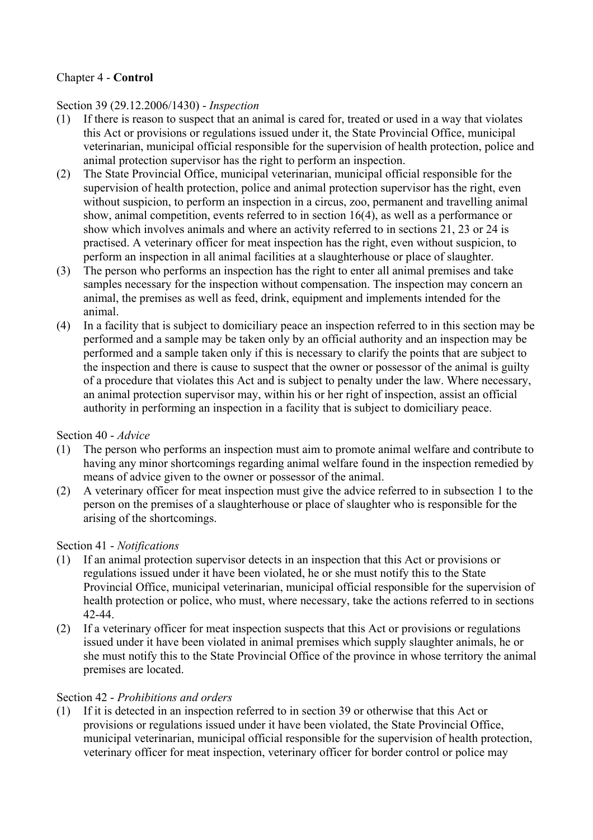# Chapter 4 - **Control**

### Section 39 (29.12.2006/1430) - *Inspection*

- (1) If there is reason to suspect that an animal is cared for, treated or used in a way that violates this Act or provisions or regulations issued under it, the State Provincial Office, municipal veterinarian, municipal official responsible for the supervision of health protection, police and animal protection supervisor has the right to perform an inspection.
- (2) The State Provincial Office, municipal veterinarian, municipal official responsible for the supervision of health protection, police and animal protection supervisor has the right, even without suspicion, to perform an inspection in a circus, zoo, permanent and travelling animal show, animal competition, events referred to in section 16(4), as well as a performance or show which involves animals and where an activity referred to in sections 21, 23 or 24 is practised. A veterinary officer for meat inspection has the right, even without suspicion, to perform an inspection in all animal facilities at a slaughterhouse or place of slaughter.
- (3) The person who performs an inspection has the right to enter all animal premises and take samples necessary for the inspection without compensation. The inspection may concern an animal, the premises as well as feed, drink, equipment and implements intended for the animal.
- (4) In a facility that is subject to domiciliary peace an inspection referred to in this section may be performed and a sample may be taken only by an official authority and an inspection may be performed and a sample taken only if this is necessary to clarify the points that are subject to the inspection and there is cause to suspect that the owner or possessor of the animal is guilty of a procedure that violates this Act and is subject to penalty under the law. Where necessary, an animal protection supervisor may, within his or her right of inspection, assist an official authority in performing an inspection in a facility that is subject to domiciliary peace.

### Section 40 - *Advice*

- (1) The person who performs an inspection must aim to promote animal welfare and contribute to having any minor shortcomings regarding animal welfare found in the inspection remedied by means of advice given to the owner or possessor of the animal.
- (2) A veterinary officer for meat inspection must give the advice referred to in subsection 1 to the person on the premises of a slaughterhouse or place of slaughter who is responsible for the arising of the shortcomings.

### Section 41 - *Notifications*

- (1) If an animal protection supervisor detects in an inspection that this Act or provisions or regulations issued under it have been violated, he or she must notify this to the State Provincial Office, municipal veterinarian, municipal official responsible for the supervision of health protection or police, who must, where necessary, take the actions referred to in sections 42-44.
- (2) If a veterinary officer for meat inspection suspects that this Act or provisions or regulations issued under it have been violated in animal premises which supply slaughter animals, he or she must notify this to the State Provincial Office of the province in whose territory the animal premises are located.

#### Section 42 - *Prohibitions and orders*

(1) If it is detected in an inspection referred to in section 39 or otherwise that this Act or provisions or regulations issued under it have been violated, the State Provincial Office, municipal veterinarian, municipal official responsible for the supervision of health protection, veterinary officer for meat inspection, veterinary officer for border control or police may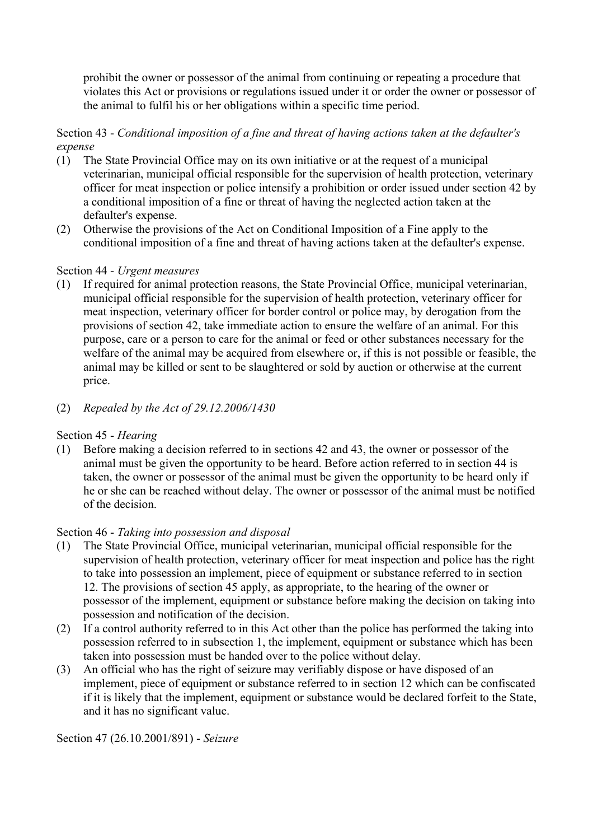prohibit the owner or possessor of the animal from continuing or repeating a procedure that violates this Act or provisions or regulations issued under it or order the owner or possessor of the animal to fulfil his or her obligations within a specific time period.

### Section 43 - *Conditional imposition of a fine and threat of having actions taken at the defaulter's expense*

- (1) The State Provincial Office may on its own initiative or at the request of a municipal veterinarian, municipal official responsible for the supervision of health protection, veterinary officer for meat inspection or police intensify a prohibition or order issued under section 42 by a conditional imposition of a fine or threat of having the neglected action taken at the defaulter's expense.
- (2) Otherwise the provisions of the Act on Conditional Imposition of a Fine apply to the conditional imposition of a fine and threat of having actions taken at the defaulter's expense.

### Section 44 - *Urgent measures*

- (1) If required for animal protection reasons, the State Provincial Office, municipal veterinarian, municipal official responsible for the supervision of health protection, veterinary officer for meat inspection, veterinary officer for border control or police may, by derogation from the provisions of section 42, take immediate action to ensure the welfare of an animal. For this purpose, care or a person to care for the animal or feed or other substances necessary for the welfare of the animal may be acquired from elsewhere or, if this is not possible or feasible, the animal may be killed or sent to be slaughtered or sold by auction or otherwise at the current price.
- (2) *Repealed by the Act of 29.12.2006/1430*

### Section 45 - *Hearing*

(1) Before making a decision referred to in sections 42 and 43, the owner or possessor of the animal must be given the opportunity to be heard. Before action referred to in section 44 is taken, the owner or possessor of the animal must be given the opportunity to be heard only if he or she can be reached without delay. The owner or possessor of the animal must be notified of the decision.

#### Section 46 - *Taking into possession and disposal*

- (1) The State Provincial Office, municipal veterinarian, municipal official responsible for the supervision of health protection, veterinary officer for meat inspection and police has the right to take into possession an implement, piece of equipment or substance referred to in section 12. The provisions of section 45 apply, as appropriate, to the hearing of the owner or possessor of the implement, equipment or substance before making the decision on taking into possession and notification of the decision.
- (2) If a control authority referred to in this Act other than the police has performed the taking into possession referred to in subsection 1, the implement, equipment or substance which has been taken into possession must be handed over to the police without delay.
- (3) An official who has the right of seizure may verifiably dispose or have disposed of an implement, piece of equipment or substance referred to in section 12 which can be confiscated if it is likely that the implement, equipment or substance would be declared forfeit to the State, and it has no significant value.

Section 47 (26.10.2001/891) - *Seizure*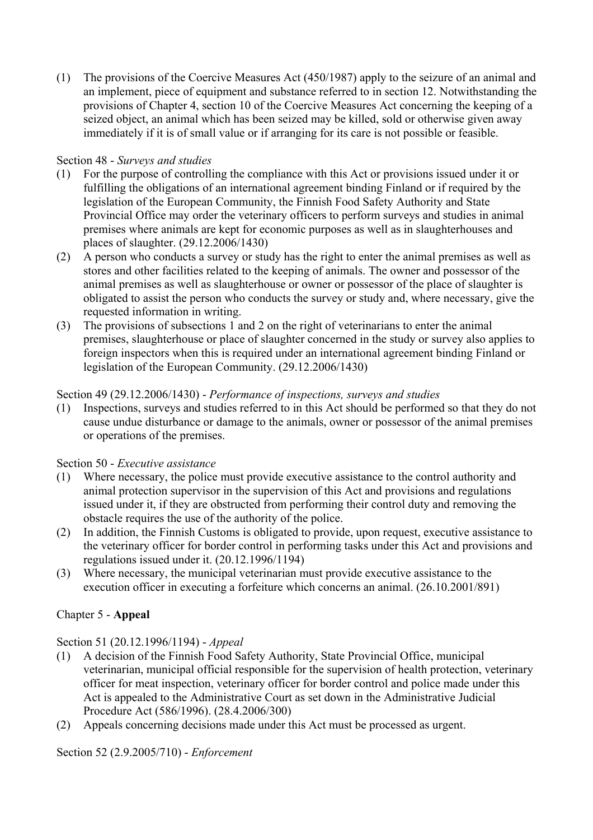(1) The provisions of the Coercive Measures Act (450/1987) apply to the seizure of an animal and an implement, piece of equipment and substance referred to in section 12. Notwithstanding the provisions of Chapter 4, section 10 of the Coercive Measures Act concerning the keeping of a seized object, an animal which has been seized may be killed, sold or otherwise given away immediately if it is of small value or if arranging for its care is not possible or feasible.

# Section 48 - *Surveys and studies*

- (1) For the purpose of controlling the compliance with this Act or provisions issued under it or fulfilling the obligations of an international agreement binding Finland or if required by the legislation of the European Community, the Finnish Food Safety Authority and State Provincial Office may order the veterinary officers to perform surveys and studies in animal premises where animals are kept for economic purposes as well as in slaughterhouses and places of slaughter. (29.12.2006/1430)
- (2) A person who conducts a survey or study has the right to enter the animal premises as well as stores and other facilities related to the keeping of animals. The owner and possessor of the animal premises as well as slaughterhouse or owner or possessor of the place of slaughter is obligated to assist the person who conducts the survey or study and, where necessary, give the requested information in writing.
- (3) The provisions of subsections 1 and 2 on the right of veterinarians to enter the animal premises, slaughterhouse or place of slaughter concerned in the study or survey also applies to foreign inspectors when this is required under an international agreement binding Finland or legislation of the European Community. (29.12.2006/1430)

# Section 49 (29.12.2006/1430) - *Performance of inspections, surveys and studies*

(1) Inspections, surveys and studies referred to in this Act should be performed so that they do not cause undue disturbance or damage to the animals, owner or possessor of the animal premises or operations of the premises.

### Section 50 - *Executive assistance*

- (1) Where necessary, the police must provide executive assistance to the control authority and animal protection supervisor in the supervision of this Act and provisions and regulations issued under it, if they are obstructed from performing their control duty and removing the obstacle requires the use of the authority of the police.
- (2) In addition, the Finnish Customs is obligated to provide, upon request, executive assistance to the veterinary officer for border control in performing tasks under this Act and provisions and regulations issued under it. (20.12.1996/1194)
- (3) Where necessary, the municipal veterinarian must provide executive assistance to the execution officer in executing a forfeiture which concerns an animal. (26.10.2001/891)

# Chapter 5 - **Appeal**

# Section 51 (20.12.1996/1194) - *Appeal*

- (1) A decision of the Finnish Food Safety Authority, State Provincial Office, municipal veterinarian, municipal official responsible for the supervision of health protection, veterinary officer for meat inspection, veterinary officer for border control and police made under this Act is appealed to the Administrative Court as set down in the Administrative Judicial Procedure Act (586/1996). (28.4.2006/300)
- (2) Appeals concerning decisions made under this Act must be processed as urgent.

Section 52 (2.9.2005/710) - *Enforcement*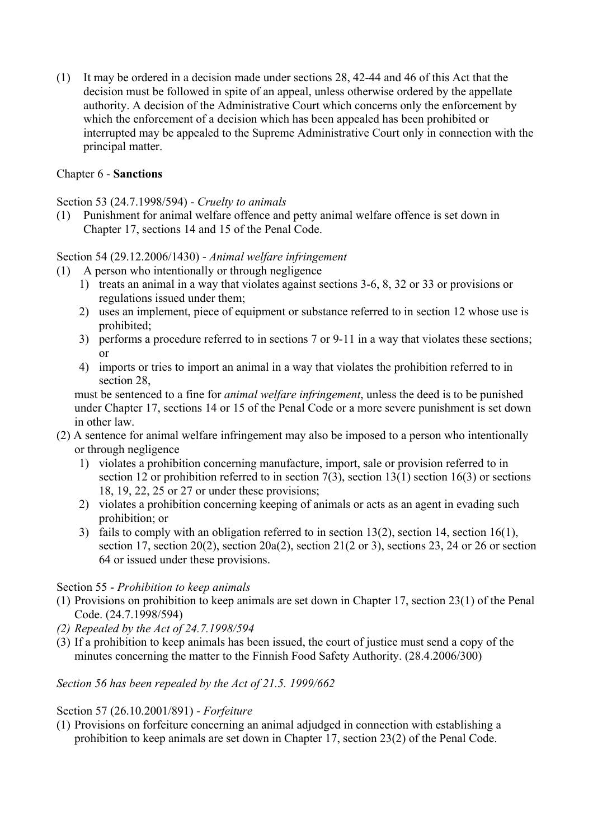(1) It may be ordered in a decision made under sections 28, 42-44 and 46 of this Act that the decision must be followed in spite of an appeal, unless otherwise ordered by the appellate authority. A decision of the Administrative Court which concerns only the enforcement by which the enforcement of a decision which has been appealed has been prohibited or interrupted may be appealed to the Supreme Administrative Court only in connection with the principal matter.

# Chapter 6 - **Sanctions**

### Section 53 (24.7.1998/594) - *Cruelty to animals*

(1) Punishment for animal welfare offence and petty animal welfare offence is set down in Chapter 17, sections 14 and 15 of the Penal Code.

### Section 54 (29.12.2006/1430) - *Animal welfare infringement*

- (1) A person who intentionally or through negligence
	- 1) treats an animal in a way that violates against sections 3-6, 8, 32 or 33 or provisions or regulations issued under them;
	- 2) uses an implement, piece of equipment or substance referred to in section 12 whose use is prohibited;
	- 3) performs a procedure referred to in sections 7 or 9-11 in a way that violates these sections; or
	- 4) imports or tries to import an animal in a way that violates the prohibition referred to in section 28,

 must be sentenced to a fine for *animal welfare infringement*, unless the deed is to be punished under Chapter 17, sections 14 or 15 of the Penal Code or a more severe punishment is set down in other law.

- (2) A sentence for animal welfare infringement may also be imposed to a person who intentionally or through negligence
	- 1) violates a prohibition concerning manufacture, import, sale or provision referred to in section 12 or prohibition referred to in section 7(3), section 13(1) section 16(3) or sections 18, 19, 22, 25 or 27 or under these provisions;
	- 2) violates a prohibition concerning keeping of animals or acts as an agent in evading such prohibition; or
	- 3) fails to comply with an obligation referred to in section 13(2), section 14, section 16(1), section 17, section 20(2), section 20a(2), section 21(2 or 3), sections 23, 24 or 26 or section 64 or issued under these provisions.

### Section 55 - *Prohibition to keep animals*

- (1) Provisions on prohibition to keep animals are set down in Chapter 17, section 23(1) of the Penal Code. (24.7.1998/594)
- *(2) Repealed by the Act of 24.7.1998/594*
- (3) If a prohibition to keep animals has been issued, the court of justice must send a copy of the minutes concerning the matter to the Finnish Food Safety Authority. (28.4.2006/300)

### *Section 56 has been repealed by the Act of 21.5. 1999/662*

#### Section 57 (26.10.2001/891) - *Forfeiture*

(1) Provisions on forfeiture concerning an animal adjudged in connection with establishing a prohibition to keep animals are set down in Chapter 17, section 23(2) of the Penal Code.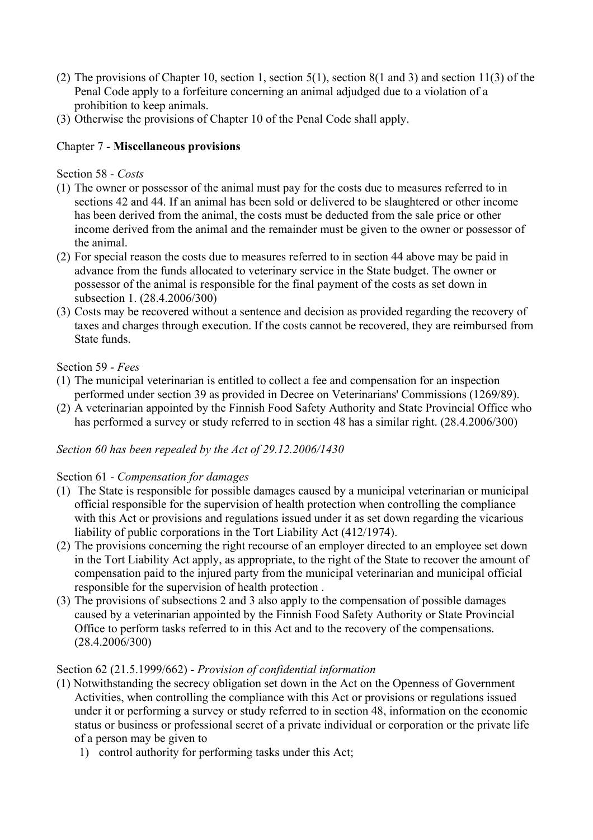- (2) The provisions of Chapter 10, section 1, section 5(1), section 8(1 and 3) and section 11(3) of the Penal Code apply to a forfeiture concerning an animal adjudged due to a violation of a prohibition to keep animals.
- (3) Otherwise the provisions of Chapter 10 of the Penal Code shall apply.

# Chapter 7 - **Miscellaneous provisions**

Section 58 - *Costs*

- (1) The owner or possessor of the animal must pay for the costs due to measures referred to in sections 42 and 44. If an animal has been sold or delivered to be slaughtered or other income has been derived from the animal, the costs must be deducted from the sale price or other income derived from the animal and the remainder must be given to the owner or possessor of the animal.
- (2) For special reason the costs due to measures referred to in section 44 above may be paid in advance from the funds allocated to veterinary service in the State budget. The owner or possessor of the animal is responsible for the final payment of the costs as set down in subsection 1. (28.4.2006/300)
- (3) Costs may be recovered without a sentence and decision as provided regarding the recovery of taxes and charges through execution. If the costs cannot be recovered, they are reimbursed from State funds.

# Section 59 - *Fees*

- (1) The municipal veterinarian is entitled to collect a fee and compensation for an inspection performed under section 39 as provided in Decree on Veterinarians' Commissions (1269/89).
- (2) A veterinarian appointed by the Finnish Food Safety Authority and State Provincial Office who has performed a survey or study referred to in section 48 has a similar right. (28.4.2006/300)

### *Section 60 has been repealed by the Act of 29.12.2006/1430*

### Section 61 - *Compensation for damages*

- (1) The State is responsible for possible damages caused by a municipal veterinarian or municipal official responsible for the supervision of health protection when controlling the compliance with this Act or provisions and regulations issued under it as set down regarding the vicarious liability of public corporations in the Tort Liability Act (412/1974).
- (2) The provisions concerning the right recourse of an employer directed to an employee set down in the Tort Liability Act apply, as appropriate, to the right of the State to recover the amount of compensation paid to the injured party from the municipal veterinarian and municipal official responsible for the supervision of health protection .
- (3) The provisions of subsections 2 and 3 also apply to the compensation of possible damages caused by a veterinarian appointed by the Finnish Food Safety Authority or State Provincial Office to perform tasks referred to in this Act and to the recovery of the compensations. (28.4.2006/300)

### Section 62 (21.5.1999/662) - *Provision of confidential information*

- (1) Notwithstanding the secrecy obligation set down in the Act on the Openness of Government Activities, when controlling the compliance with this Act or provisions or regulations issued under it or performing a survey or study referred to in section 48, information on the economic status or business or professional secret of a private individual or corporation or the private life of a person may be given to
	- 1) control authority for performing tasks under this Act;